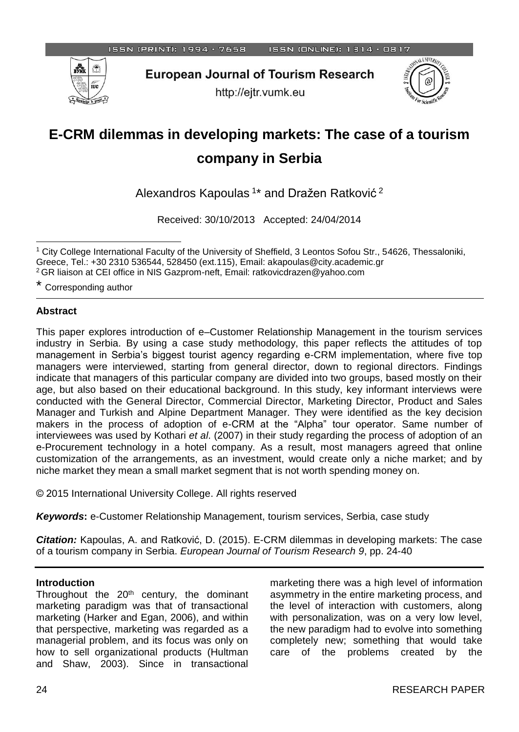

**European Journal of Tourism Research** 

http://ejtr.vumk.eu



# **E-CRM dilemmas in developing markets: The case of a tourism company in Serbia**

Alexandros Kapoulas<sup>1\*</sup> and Dražen Ratković<sup>2</sup>

Received: 30/10/2013 Accepted: 24/04/2014

\* Corresponding author

## **Abstract**

This paper explores introduction of e–Customer Relationship Management in the tourism services industry in Serbia. By using a case study methodology, this paper reflects the attitudes of top management in Serbia's biggest tourist agency regarding e-CRM implementation, where five top managers were interviewed, starting from general director, down to regional directors. Findings indicate that managers of this particular company are divided into two groups, based mostly on their age, but also based on their educational background. In this study, key informant interviews were conducted with the General Director, Commercial Director, Marketing Director, Product and Sales Manager and Turkish and Alpine Department Manager. They were identified as the key decision makers in the process of adoption of e-CRM at the "Alpha" tour operator. Same number of interviewees was used by Kothari *et al*. (2007) in their study regarding the process of adoption of an e-Procurement technology in a hotel company. As a result, most managers agreed that online customization of the arrangements, as an investment, would create only a niche market; and by niche market they mean a small market segment that is not worth spending money on.

© 2015 International University College. All rights reserved

*Keywords***:** e-Customer Relationship Management, tourism services, Serbia, case study

*Citation:* Kapoulas, A. and Ratković, D. (2015). E-CRM dilemmas in developing markets: The case of a tourism company in Serbia. *European Journal of Tourism Research 9*, pp. 24-40

## **Introduction**

Throughout the 20<sup>th</sup> century, the dominant marketing paradigm was that of transactional marketing (Harker and Egan, 2006), and within that perspective, marketing was regarded as a managerial problem, and its focus was only on how to sell organizational products (Hultman and Shaw, 2003). Since in transactional marketing there was a high level of information asymmetry in the entire marketing process, and the level of interaction with customers, along with personalization, was on a very low level, the new paradigm had to evolve into something completely new; something that would take care of the problems created by the

l <sup>1</sup> City College International Faculty of the University of Sheffield, 3 Leontos Sofou Str., 54626, Thessaloniki, Greece, Tel.: +30 2310 536544, 528450 (ext.115), Email: akapoulas@city.academic.gr <sup>2</sup>GR liaison at CEI office in NIS Gazprom-neft, Email: ratkovicdrazen@yahoo.com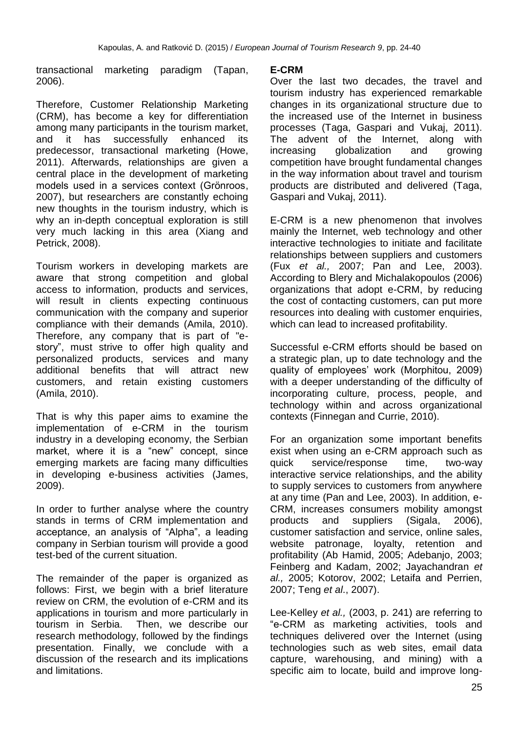transactional marketing paradigm (Tapan, 2006).

Therefore, Customer Relationship Marketing (CRM), has become a key for differentiation among many participants in the tourism market, and it has successfully enhanced its predecessor, transactional marketing (Howe, 2011). Afterwards, relationships are given a central place in the development of marketing models used in a services context (Grönroos, 2007), but researchers are constantly echoing new thoughts in the tourism industry, which is why an in-depth conceptual exploration is still very much lacking in this area (Xiang and Petrick, 2008).

Tourism workers in developing markets are aware that strong competition and global access to information, products and services, will result in clients expecting continuous communication with the company and superior compliance with their demands (Amila, 2010). Therefore, any company that is part of "estory", must strive to offer high quality and personalized products, services and many additional benefits that will attract new customers, and retain existing customers (Amila, 2010).

That is why this paper aims to examine the implementation of e-CRM in the tourism industry in a developing economy, the Serbian market, where it is a "new" concept, since emerging markets are facing many difficulties in developing e-business activities (James, 2009).

In order to further analyse where the country stands in terms of CRM implementation and acceptance, an analysis of "Alpha", a leading company in Serbian tourism will provide a good test-bed of the current situation.

The remainder of the paper is organized as follows: First, we begin with a brief literature review on CRM, the evolution of e-CRM and its applications in tourism and more particularly in tourism in Serbia. Then, we describe our research methodology, followed by the findings presentation. Finally, we conclude with a discussion of the research and its implications and limitations.

# **E-CRM**

Over the last two decades, the travel and tourism industry has experienced remarkable changes in its organizational structure due to the increased use of the Internet in business processes (Taga, Gaspari and Vukaj, 2011). The advent of the Internet, along with increasing globalization and growing competition have brought fundamental changes in the way information about travel and tourism products are distributed and delivered (Taga, Gaspari and Vukaj, 2011).

E-CRM is a new phenomenon that involves mainly the Internet, web technology and other interactive technologies to initiate and facilitate relationships between suppliers and customers (Fux *et al.,* 2007; Pan and Lee, 2003). According to Blery and Michalakopoulos (2006) organizations that adopt e-CRM, by reducing the cost of contacting customers, can put more resources into dealing with customer enquiries, which can lead to increased profitability.

Successful e-CRM efforts should be based on a strategic plan, up to date technology and the quality of employees' work (Morphitou, 2009) with a deeper understanding of the difficulty of incorporating culture, process, people, and technology within and across organizational contexts (Finnegan and Currie, 2010).

For an organization some important benefits exist when using an e-CRM approach such as quick service/response time, two-way interactive service relationships, and the ability to supply services to customers from anywhere at any time (Pan and Lee, 2003). In addition, e-CRM, increases consumers mobility amongst products and suppliers (Sigala, 2006), customer satisfaction and service, online sales, website patronage, loyalty, retention and profitability (Ab Hamid, 2005; Adebanjo, 2003; Feinberg and Kadam, 2002; Jayachandran *et al.,* 2005; Kotorov, 2002; Letaifa and Perrien, 2007; Teng *et al*., 2007).

Lee-Kelley *et al.,* (2003, p. 241) are referring to "e-CRM as marketing activities, tools and techniques delivered over the Internet (using technologies such as web sites, email data capture, warehousing, and mining) with a specific aim to locate, build and improve long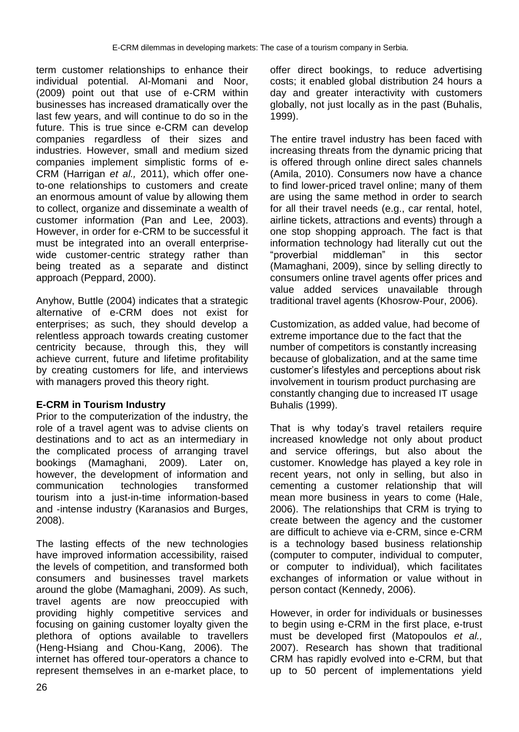term customer relationships to enhance their individual potential. Al-Momani and Noor, (2009) point out that use of e-CRM within businesses has increased dramatically over the last few years, and will continue to do so in the future. This is true since e-CRM can develop companies regardless of their sizes and industries. However, small and medium sized companies implement simplistic forms of e-CRM (Harrigan *et al.,* 2011), which offer oneto-one relationships to customers and create an enormous amount of value by allowing them to collect, organize and disseminate a wealth of customer information (Pan and Lee, 2003). However, in order for e-CRM to be successful it must be integrated into an overall enterprisewide customer-centric strategy rather than being treated as a separate and distinct approach (Peppard, 2000).

Anyhow, Buttle (2004) indicates that a strategic alternative of e-CRM does not exist for enterprises; as such, they should develop a relentless approach towards creating customer centricity because, through this, they will achieve current, future and lifetime profitability by creating customers for life, and interviews with managers proved this theory right.

# **E-CRM in Tourism Industry**

Prior to the computerization of the industry, the role of a travel agent was to advise clients on destinations and to act as an intermediary in the complicated process of arranging travel bookings (Mamaghani, 2009). Later on, however, the development of information and communication technologies transformed tourism into a just-in-time information-based and -intense industry (Karanasios and Burges, 2008).

The lasting effects of the new technologies have improved information accessibility, raised the levels of competition, and transformed both consumers and businesses travel markets around the globe (Mamaghani, 2009). As such, travel agents are now preoccupied with providing highly competitive services and focusing on gaining customer loyalty given the plethora of options available to travellers (Heng-Hsiang and Chou-Kang, 2006). The internet has offered tour-operators a chance to represent themselves in an e-market place, to offer direct bookings, to reduce advertising costs; it enabled global distribution 24 hours a day and greater interactivity with customers globally, not just locally as in the past (Buhalis, 1999).

The entire travel industry has been faced with increasing threats from the dynamic pricing that is offered through online direct sales channels (Amila, 2010). Consumers now have a chance to find lower-priced travel online; many of them are using the same method in order to search for all their travel needs (e.g., car rental, hotel, airline tickets, attractions and events) through a one stop shopping approach. The fact is that information technology had literally cut out the "proverbial middleman" in this sector (Mamaghani, 2009), since by selling directly to consumers online travel agents offer prices and value added services unavailable through traditional travel agents (Khosrow-Pour, 2006).

Customization, as added value, had become of extreme importance due to the fact that the number of competitors is constantly increasing because of globalization, and at the same time customer's lifestyles and perceptions about risk involvement in tourism product purchasing are constantly changing due to increased IT usage Buhalis (1999).

That is why today's travel retailers require increased knowledge not only about product and service offerings, but also about the customer. Knowledge has played a key role in recent years, not only in selling, but also in cementing a customer relationship that will mean more business in years to come (Hale, 2006). The relationships that CRM is trying to create between the agency and the customer are difficult to achieve via e-CRM, since e-CRM is a technology based business relationship (computer to computer, individual to computer, or computer to individual), which facilitates exchanges of information or value without in person contact (Kennedy, 2006).

However, in order for individuals or businesses to begin using e-CRM in the first place, e-trust must be developed first (Matopoulos *et al.,* 2007). Research has shown that traditional CRM has rapidly evolved into e-CRM, but that up to 50 percent of implementations yield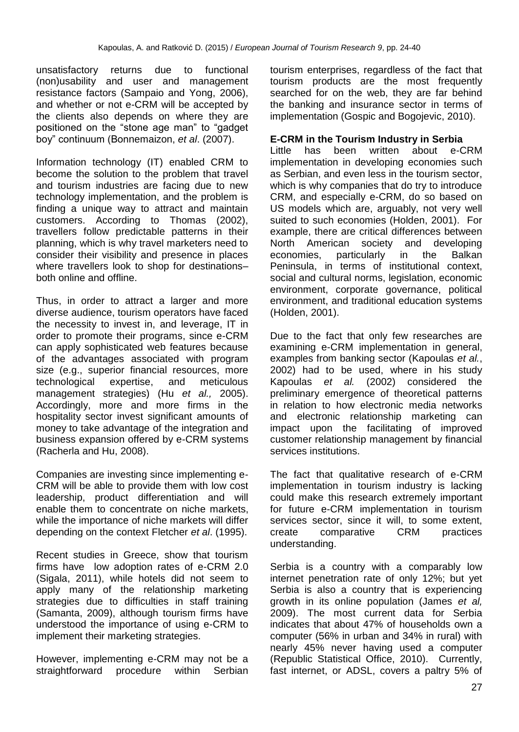unsatisfactory returns due to functional (non)usability and user and management resistance factors (Sampaio and Yong, 2006), and whether or not e-CRM will be accepted by the clients also depends on where they are positioned on the "stone age man" to "gadget boy" continuum (Bonnemaizon, *et al*. (2007).

Information technology (IT) enabled CRM to become the solution to the problem that travel and tourism industries are facing due to new technology implementation, and the problem is finding a unique way to attract and maintain customers. According to Thomas (2002), travellers follow predictable patterns in their planning, which is why travel marketers need to consider their visibility and presence in places where travellers look to shop for destinations– both online and offline.

Thus, in order to attract a larger and more diverse audience, tourism operators have faced the necessity to invest in, and leverage, IT in order to promote their programs, since e-CRM can apply sophisticated web features because of the advantages associated with program size (e.g., superior financial resources, more technological expertise, and meticulous management strategies) (Hu *et al.,* 2005). Accordingly, more and more firms in the hospitality sector invest significant amounts of money to take advantage of the integration and business expansion offered by e-CRM systems (Racherla and Hu, 2008).

Companies are investing since implementing e-CRM will be able to provide them with low cost leadership, product differentiation and will enable them to concentrate on niche markets, while the importance of niche markets will differ depending on the context Fletcher *et al*. (1995).

Recent studies in Greece, show that tourism firms have low adoption rates of e-CRM 2.0 (Sigala, 2011), while hotels did not seem to apply many of the relationship marketing strategies due to difficulties in staff training (Samanta, 2009), although tourism firms have understood the importance of using e-CRM to implement their marketing strategies.

However, implementing e-CRM may not be a straightforward procedure within Serbian tourism enterprises, regardless of the fact that tourism products are the most frequently searched for on the web, they are far behind the banking and insurance sector in terms of implementation (Gospic and Bogojevic, 2010).

# **E-CRM in the Tourism Industry in Serbia**

Little has been written about e-CRM implementation in developing economies such as Serbian, and even less in the tourism sector, which is why companies that do try to introduce CRM, and especially e-CRM, do so based on US models which are, arguably, not very well suited to such economies (Holden, 2001). For example, there are critical differences between North American society and developing economies, particularly in the Balkan Peninsula, in terms of institutional context, social and cultural norms, legislation, economic environment, corporate governance, political environment, and traditional education systems (Holden, 2001).

Due to the fact that only few researches are examining e-CRM implementation in general, examples from banking sector (Kapoulas *et al.*, 2002) had to be used, where in his study Kapoulas *et al.* (2002) considered the preliminary emergence of theoretical patterns in relation to how electronic media networks and electronic relationship marketing can impact upon the facilitating of improved customer relationship management by financial services institutions.

The fact that qualitative research of e-CRM implementation in tourism industry is lacking could make this research extremely important for future e-CRM implementation in tourism services sector, since it will, to some extent, create comparative CRM practices understanding.

Serbia is a country with a comparably low internet penetration rate of only 12%; but yet Serbia is also a country that is experiencing growth in its online population (James *et al,* 2009). The most current data for Serbia indicates that about 47% of households own a computer (56% in urban and 34% in rural) with nearly 45% never having used a computer (Republic Statistical Office, 2010). Currently, fast internet, or ADSL, covers a paltry 5% of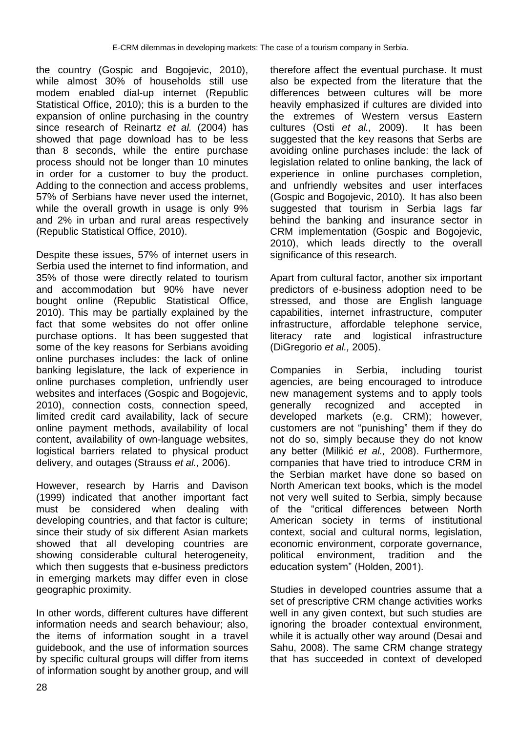the country (Gospic and Bogojevic, 2010), while almost 30% of households still use modem enabled dial-up internet (Republic Statistical Office, 2010); this is a burden to the expansion of online purchasing in the country since research of Reinartz *et al.* (2004) has showed that page download has to be less than 8 seconds, while the entire purchase process should not be longer than 10 minutes in order for a customer to buy the product. Adding to the connection and access problems, 57% of Serbians have never used the internet, while the overall growth in usage is only 9% and 2% in urban and rural areas respectively (Republic Statistical Office, 2010).

Despite these issues, 57% of internet users in Serbia used the internet to find information, and 35% of those were directly related to tourism and accommodation but 90% have never bought online (Republic Statistical Office, 2010). This may be partially explained by the fact that some websites do not offer online purchase options. It has been suggested that some of the key reasons for Serbians avoiding online purchases includes: the lack of online banking legislature, the lack of experience in online purchases completion, unfriendly user websites and interfaces (Gospic and Bogojevic, 2010), connection costs, connection speed, limited credit card availability, lack of secure online payment methods, availability of local content, availability of own-language websites, logistical barriers related to physical product delivery, and outages (Strauss *et al.,* 2006).

However, research by Harris and Davison (1999) indicated that another important fact must be considered when dealing with developing countries, and that factor is culture; since their study of six different Asian markets showed that all developing countries are showing considerable cultural heterogeneity, which then suggests that e-business predictors in emerging markets may differ even in close geographic proximity.

In other words, different cultures have different information needs and search behaviour; also, the items of information sought in a travel guidebook, and the use of information sources by specific cultural groups will differ from items of information sought by another group, and will therefore affect the eventual purchase. It must also be expected from the literature that the differences between cultures will be more heavily emphasized if cultures are divided into the extremes of Western versus Eastern cultures (Osti *et al.,* 2009). It has been suggested that the key reasons that Serbs are avoiding online purchases include: the lack of legislation related to online banking, the lack of experience in online purchases completion, and unfriendly websites and user interfaces (Gospic and Bogojevic, 2010). It has also been suggested that tourism in Serbia lags far behind the banking and insurance sector in CRM implementation (Gospic and Bogojevic, 2010), which leads directly to the overall significance of this research.

Apart from cultural factor, another six important predictors of e-business adoption need to be stressed, and those are English language capabilities, internet infrastructure, computer infrastructure, affordable telephone service, literacy rate and logistical infrastructure (DiGregorio *et al.,* 2005).

Companies in Serbia, including tourist agencies, are being encouraged to introduce new management systems and to apply tools generally recognized and accepted in developed markets (e.g. CRM); however, customers are not "punishing" them if they do not do so, simply because they do not know any better (Milikić *et al.,* 2008). Furthermore, companies that have tried to introduce CRM in the Serbian market have done so based on North American text books, which is the model not very well suited to Serbia, simply because of the "critical differences between North American society in terms of institutional context, social and cultural norms, legislation, economic environment, corporate governance, political environment, tradition and the education system" (Holden, 2001).

Studies in developed countries assume that a set of prescriptive CRM change activities works well in any given context, but such studies are ignoring the broader contextual environment, while it is actually other way around (Desai and Sahu, 2008). The same CRM change strategy that has succeeded in context of developed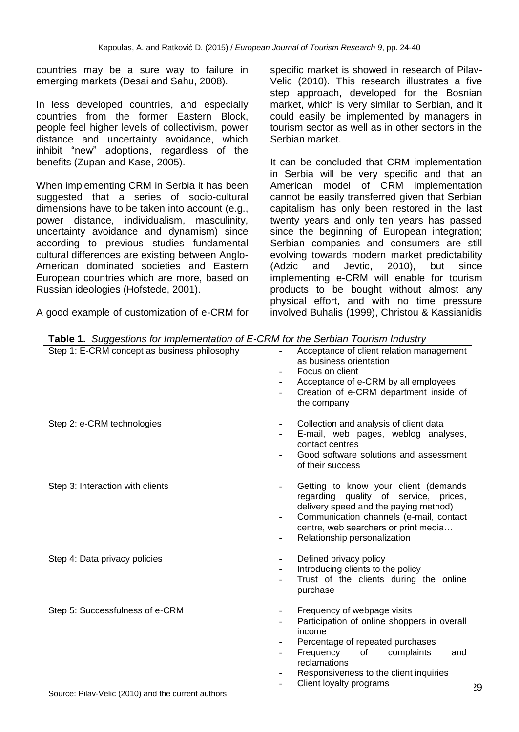countries may be a sure way to failure in emerging markets (Desai and Sahu, 2008).

In less developed countries, and especially countries from the former Eastern Block, people feel higher levels of collectivism, power distance and uncertainty avoidance, which inhibit "new" adoptions, regardless of the benefits (Zupan and Kase, 2005).

When implementing CRM in Serbia it has been suggested that a series of socio-cultural dimensions have to be taken into account (e.g., power distance, individualism, masculinity, uncertainty avoidance and dynamism) since according to previous studies fundamental cultural differences are existing between Anglo-American dominated societies and Eastern European countries which are more, based on Russian ideologies (Hofstede, 2001).

A good example of customization of e-CRM for

specific market is showed in research of Pilav-Velic (2010). This research illustrates a five step approach, developed for the Bosnian market, which is very similar to Serbian, and it could easily be implemented by managers in tourism sector as well as in other sectors in the Serbian market.

It can be concluded that CRM implementation in Serbia will be very specific and that an American model of CRM implementation cannot be easily transferred given that Serbian capitalism has only been restored in the last twenty years and only ten years has passed since the beginning of European integration; Serbian companies and consumers are still evolving towards modern market predictability (Adzic and Jevtic, 2010), but since implementing e-CRM will enable for tourism products to be bought without almost any physical effort, and with no time pressure involved Buhalis (1999), Christou & Kassianidis

| Step 1: E-CRM concept as business philosophy | Acceptance of client relation management<br>as business orientation<br>Focus on client<br>$\blacksquare$<br>Acceptance of e-CRM by all employees<br>Creation of e-CRM department inside of<br>the company                                                                                                                                                                                                                                                                         |
|----------------------------------------------|-----------------------------------------------------------------------------------------------------------------------------------------------------------------------------------------------------------------------------------------------------------------------------------------------------------------------------------------------------------------------------------------------------------------------------------------------------------------------------------|
| Step 2: e-CRM technologies                   | Collection and analysis of client data<br>$\overline{\phantom{a}}$<br>E-mail, web pages, weblog analyses,<br>contact centres<br>Good software solutions and assessment<br>of their success                                                                                                                                                                                                                                                                                        |
| Step 3: Interaction with clients             | Getting to know your client (demands<br>$\overline{\phantom{a}}$<br>regarding quality of service, prices,<br>delivery speed and the paying method)<br>Communication channels (e-mail, contact<br>$\overline{\phantom{a}}$<br>centre, web searchers or print media<br>Relationship personalization                                                                                                                                                                                 |
| Step 4: Data privacy policies                | Defined privacy policy<br>$\overline{\phantom{a}}$<br>Introducing clients to the policy<br>Trust of the clients during the online<br>purchase                                                                                                                                                                                                                                                                                                                                     |
| Step 5: Successfulness of e-CRM              | Frequency of webpage visits<br>Participation of online shoppers in overall<br>income<br>Percentage of repeated purchases<br>Frequency<br>complaints<br>of the contract of the contract of the contract of the contract of the contract of the contract of the contract of the contract of the contract of the contract of the contract of the contract of the contract of the contrac<br>and<br>reclamations<br>Responsiveness to the client inquiries<br>Client loyalty programs |

**Table 1.** *Suggestions for Implementation of E-CRM for the Serbian Tourism Industry*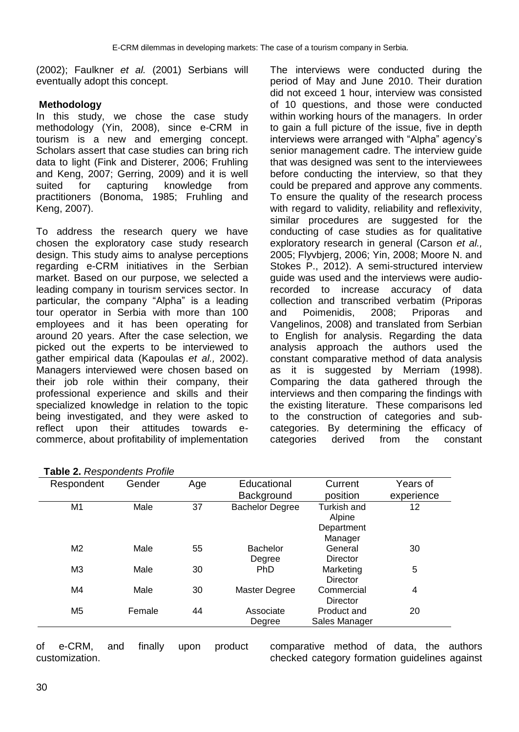(2002); Faulkner *et al.* (2001) Serbians will eventually adopt this concept.

#### **Methodology**

In this study, we chose the case study methodology (Yin, 2008), since e-CRM in tourism is a new and emerging concept. Scholars assert that case studies can bring rich data to light (Fink and Disterer, 2006; Fruhling and Keng, 2007; Gerring, 2009) and it is well suited for capturing knowledge from practitioners (Bonoma, 1985; Fruhling and Keng, 2007).

To address the research query we have chosen the exploratory case study research design. This study aims to analyse perceptions regarding e-CRM initiatives in the Serbian market. Based on our purpose, we selected a leading company in tourism services sector. In particular, the company "Alpha" is a leading tour operator in Serbia with more than 100 employees and it has been operating for around 20 years. After the case selection, we picked out the experts to be interviewed to gather empirical data (Kapoulas *et al.,* 2002). Managers interviewed were chosen based on their job role within their company, their professional experience and skills and their specialized knowledge in relation to the topic being investigated, and they were asked to reflect upon their attitudes towards ecommerce, about profitability of implementation

The interviews were conducted during the period of May and June 2010. Their duration did not exceed 1 hour, interview was consisted of 10 questions, and those were conducted within working hours of the managers. In order to gain a full picture of the issue, five in depth interviews were arranged with "Alpha" agency's senior management cadre. The interview guide that was designed was sent to the interviewees before conducting the interview, so that they could be prepared and approve any comments. To ensure the quality of the research process with regard to validity, reliability and reflexivity, similar procedures are suggested for the conducting of case studies as for qualitative exploratory research in general (Carson *et al.,* 2005; Flyvbjerg, 2006; Yin, 2008; Moore N. and Stokes P., 2012). A semi-structured interview guide was used and the interviews were audiorecorded to increase accuracy of data collection and transcribed verbatim (Priporas and Poimenidis, 2008; Priporas and Vangelinos, 2008) and translated from Serbian to English for analysis. Regarding the data analysis approach the authors used the constant comparative method of data analysis as it is suggested by Merriam (1998). Comparing the data gathered through the interviews and then comparing the findings with the existing literature. These comparisons led to the construction of categories and subcategories. By determining the efficacy of categories derived from the constant

| <b>Table 2.</b> Respondents Profile |        |     |                        |                 |            |
|-------------------------------------|--------|-----|------------------------|-----------------|------------|
| Respondent                          | Gender | Age | Educational            | Current         | Years of   |
|                                     |        |     | Background             | position        | experience |
| M1                                  | Male   | 37  | <b>Bachelor Degree</b> | Turkish and     | 12         |
|                                     |        |     |                        | Alpine          |            |
|                                     |        |     |                        | Department      |            |
|                                     |        |     |                        | Manager         |            |
| M <sub>2</sub>                      | Male   | 55  | <b>Bachelor</b>        | General         | 30         |
|                                     |        |     | Degree                 | <b>Director</b> |            |
| M <sub>3</sub>                      | Male   | 30  | <b>PhD</b>             | Marketing       | 5          |
|                                     |        |     |                        | <b>Director</b> |            |
| M <sub>4</sub>                      | Male   | 30  | Master Degree          | Commercial      | 4          |
|                                     |        |     |                        | Director        |            |
| M <sub>5</sub>                      | Female | 44  | Associate              | Product and     | 20         |
|                                     |        |     | Degree                 | Sales Manager   |            |

|  | Table 2. Respondents Profile |  |
|--|------------------------------|--|
|  |                              |  |

of e-CRM, and finally upon product customization.

comparative method of data, the authors checked category formation guidelines against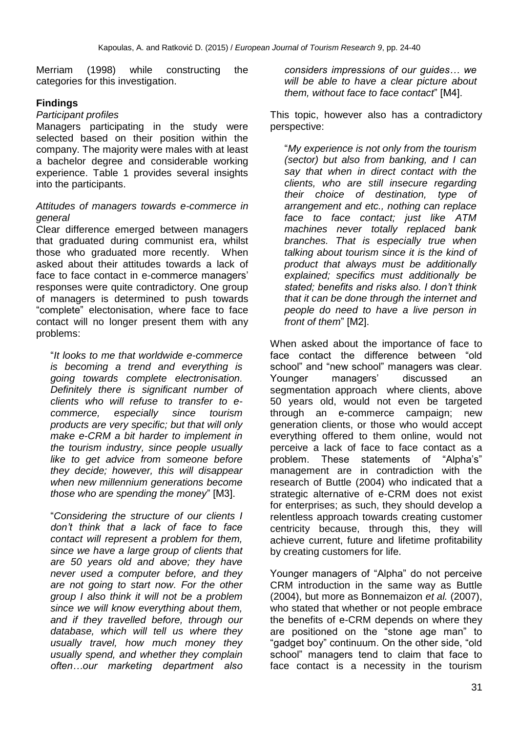Merriam (1998) while constructing the categories for this investigation.

# **Findings**

## *Participant profiles*

Managers participating in the study were selected based on their position within the company. The majority were males with at least a bachelor degree and considerable working experience. Table 1 provides several insights into the participants.

#### *Attitudes of managers towards e-commerce in general*

Clear difference emerged between managers that graduated during communist era, whilst those who graduated more recently. When asked about their attitudes towards a lack of face to face contact in e-commerce managers' responses were quite contradictory. One group of managers is determined to push towards "complete" electonisation, where face to face contact will no longer present them with any problems:

"*It looks to me that worldwide e-commerce is becoming a trend and everything is going towards complete electronisation. Definitely there is significant number of clients who will refuse to transfer to ecommerce, especially since tourism products are very specific; but that will only make e-CRM a bit harder to implement in the tourism industry, since people usually like to get advice from someone before they decide; however, this will disappear when new millennium generations become those who are spending the money*" [M3].

"*Considering the structure of our clients I don't think that a lack of face to face contact will represent a problem for them, since we have a large group of clients that are 50 years old and above; they have never used a computer before, and they are not going to start now. For the other group I also think it will not be a problem since we will know everything about them, and if they travelled before, through our database, which will tell us where they usually travel, how much money they usually spend, and whether they complain often…our marketing department also* 

*considers impressions of our guides… we will be able to have a clear picture about them, without face to face contact*" [M4].

This topic, however also has a contradictory perspective:

"*My experience is not only from the tourism (sector) but also from banking, and I can say that when in direct contact with the clients, who are still insecure regarding their choice of destination, type of arrangement and etc., nothing can replace face to face contact; just like ATM machines never totally replaced bank branches. That is especially true when talking about tourism since it is the kind of product that always must be additionally explained; specifics must additionally be stated; benefits and risks also. I don't think that it can be done through the internet and people do need to have a live person in front of them*" [M2].

When asked about the importance of face to face contact the difference between "old school" and "new school" managers was clear. Younger managers' discussed an segmentation approach where clients, above 50 years old, would not even be targeted through an e-commerce campaign; new generation clients, or those who would accept everything offered to them online, would not perceive a lack of face to face contact as a problem. These statements of "Alpha's" management are in contradiction with the research of Buttle (2004) who indicated that a strategic alternative of e-CRM does not exist for enterprises; as such, they should develop a relentless approach towards creating customer centricity because, through this, they will achieve current, future and lifetime profitability by creating customers for life.

Younger managers of "Alpha" do not perceive CRM introduction in the same way as Buttle (2004), but more as Bonnemaizon *et al.* (2007), who stated that whether or not people embrace the benefits of e-CRM depends on where they are positioned on the "stone age man" to "gadget boy" continuum. On the other side, "old school" managers tend to claim that face to face contact is a necessity in the tourism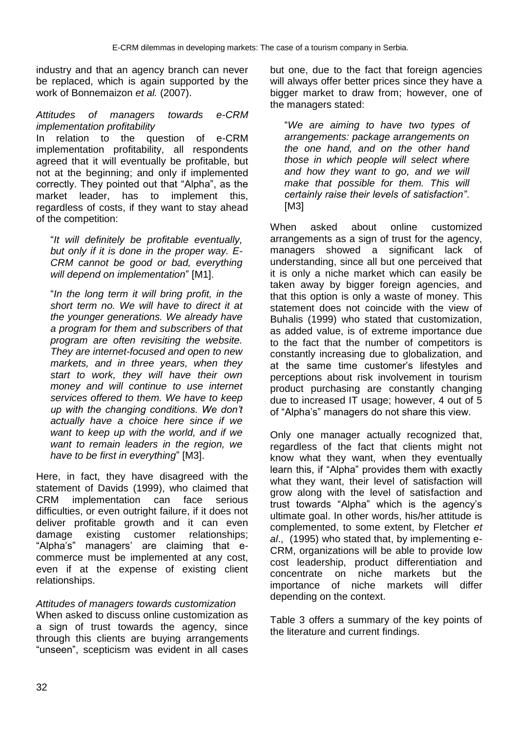industry and that an agency branch can never be replaced, which is again supported by the work of Bonnemaizon *et al.* (2007).

#### *Attitudes of managers towards e-CRM implementation profitability*

In relation to the question of e-CRM implementation profitability, all respondents agreed that it will eventually be profitable, but not at the beginning; and only if implemented correctly. They pointed out that "Alpha", as the market leader, has to implement this, regardless of costs, if they want to stay ahead of the competition:

"*It will definitely be profitable eventually, but only if it is done in the proper way. E-CRM cannot be good or bad, everything will depend on implementation*" [M1].

"*In the long term it will bring profit, in the short term no. We will have to direct it at the younger generations. We already have a program for them and subscribers of that program are often revisiting the website. They are internet-focused and open to new markets, and in three years, when they start to work, they will have their own money and will continue to use internet services offered to them. We have to keep up with the changing conditions. We don't actually have a choice here since if we want to keep up with the world, and if we want to remain leaders in the region, we have to be first in everything*" [M3].

Here, in fact, they have disagreed with the statement of Davids (1999), who claimed that CRM implementation can face serious difficulties, or even outright failure, if it does not deliver profitable growth and it can even damage existing customer relationships; "Alpha's" managers' are claiming that ecommerce must be implemented at any cost, even if at the expense of existing client relationships.

## *Attitudes of managers towards customization*

When asked to discuss online customization as a sign of trust towards the agency, since through this clients are buying arrangements "unseen", scepticism was evident in all cases but one, due to the fact that foreign agencies will always offer better prices since they have a bigger market to draw from; however, one of the managers stated:

"*We are aiming to have two types of arrangements: package arrangements on the one hand, and on the other hand those in which people will select where and how they want to go, and we will make that possible for them. This will certainly raise their levels of satisfaction"*. [M3]

When asked about online customized arrangements as a sign of trust for the agency, managers showed a significant lack of understanding, since all but one perceived that it is only a niche market which can easily be taken away by bigger foreign agencies, and that this option is only a waste of money. This statement does not coincide with the view of Buhalis (1999) who stated that customization, as added value, is of extreme importance due to the fact that the number of competitors is constantly increasing due to globalization, and at the same time customer's lifestyles and perceptions about risk involvement in tourism product purchasing are constantly changing due to increased IT usage; however, 4 out of 5 of "Alpha's" managers do not share this view.

Only one manager actually recognized that, regardless of the fact that clients might not know what they want, when they eventually learn this, if "Alpha" provides them with exactly what they want, their level of satisfaction will grow along with the level of satisfaction and trust towards "Alpha" which is the agency's ultimate goal. In other words, his/her attitude is complemented, to some extent, by Fletcher *et al*., (1995) who stated that, by implementing e-CRM, organizations will be able to provide low cost leadership, product differentiation and concentrate on niche markets but the importance of niche markets will differ depending on the context.

Table 3 offers a summary of the key points of the literature and current findings.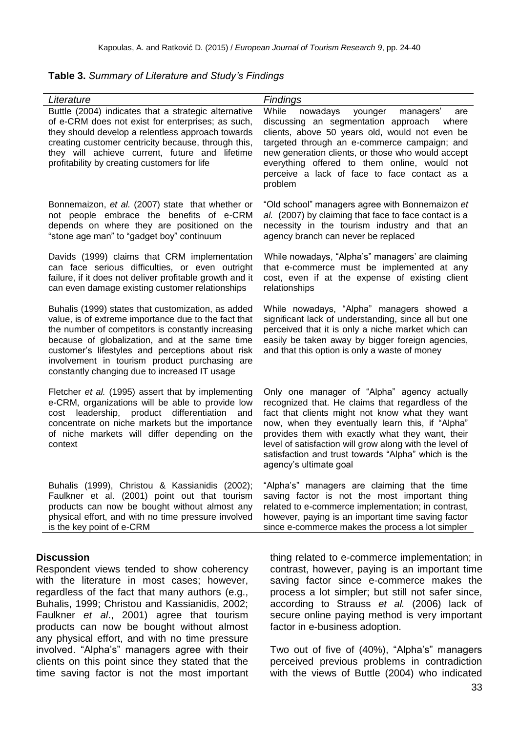| Literature                                                                                                                                                                                                                                                                                                                                                               | <b>Findings</b>                                                                                                                                                                                                                                                                                                                                                                                         |
|--------------------------------------------------------------------------------------------------------------------------------------------------------------------------------------------------------------------------------------------------------------------------------------------------------------------------------------------------------------------------|---------------------------------------------------------------------------------------------------------------------------------------------------------------------------------------------------------------------------------------------------------------------------------------------------------------------------------------------------------------------------------------------------------|
| Buttle (2004) indicates that a strategic alternative<br>of e-CRM does not exist for enterprises; as such,<br>they should develop a relentless approach towards<br>creating customer centricity because, through this,<br>they will achieve current, future and lifetime<br>profitability by creating customers for life                                                  | While<br>nowadays<br>younger<br>managers'<br>are<br>discussing an segmentation approach<br>where<br>clients, above 50 years old, would not even be<br>targeted through an e-commerce campaign; and<br>new generation clients, or those who would accept<br>everything offered to them online, would not<br>perceive a lack of face to face contact as a<br>problem                                      |
| Bonnemaizon, et al. (2007) state that whether or<br>not people embrace the benefits of e-CRM<br>depends on where they are positioned on the<br>"stone age man" to "gadget boy" continuum                                                                                                                                                                                 | "Old school" managers agree with Bonnemaizon et<br>al. (2007) by claiming that face to face contact is a<br>necessity in the tourism industry and that an<br>agency branch can never be replaced                                                                                                                                                                                                        |
| Davids (1999) claims that CRM implementation<br>can face serious difficulties, or even outright<br>failure, if it does not deliver profitable growth and it<br>can even damage existing customer relationships                                                                                                                                                           | While nowadays, "Alpha's" managers' are claiming<br>that e-commerce must be implemented at any<br>cost, even if at the expense of existing client<br>relationships                                                                                                                                                                                                                                      |
| Buhalis (1999) states that customization, as added<br>value, is of extreme importance due to the fact that<br>the number of competitors is constantly increasing<br>because of globalization, and at the same time<br>customer's lifestyles and perceptions about risk<br>involvement in tourism product purchasing are<br>constantly changing due to increased IT usage | While nowadays, "Alpha" managers showed a<br>significant lack of understanding, since all but one<br>perceived that it is only a niche market which can<br>easily be taken away by bigger foreign agencies,<br>and that this option is only a waste of money                                                                                                                                            |
| Fletcher et al. (1995) assert that by implementing<br>e-CRM, organizations will be able to provide low<br>product differentiation<br>leadership,<br>and<br>cost<br>concentrate on niche markets but the importance<br>of niche markets will differ depending on the<br>context                                                                                           | Only one manager of "Alpha" agency actually<br>recognized that. He claims that regardless of the<br>fact that clients might not know what they want<br>now, when they eventually learn this, if "Alpha"<br>provides them with exactly what they want, their<br>level of satisfaction will grow along with the level of<br>satisfaction and trust towards "Alpha" which is the<br>agency's ultimate goal |
| Buhalis (1999), Christou & Kassianidis (2002);<br>Faulkner et al. (2001) point out that tourism<br>products can now be bought without almost any<br>physical effort, and with no time pressure involved<br>is the key point of e-CRM                                                                                                                                     | "Alpha's" managers are claiming that the time<br>saving factor is not the most important thing<br>related to e-commerce implementation; in contrast,<br>however, paying is an important time saving factor<br>since e-commerce makes the process a lot simpler                                                                                                                                          |
| <b>Discussion</b>                                                                                                                                                                                                                                                                                                                                                        | thing related to e-commerce implementation;                                                                                                                                                                                                                                                                                                                                                             |

**Table 3.** *Summary of Literature and Study's Findings*

Respondent views tended to show coherency with the literature in most cases; however, regardless of the fact that many authors (e.g., Buhalis, 1999; Christou and Kassianidis, 2002; Faulkner *et al*., 2001) agree that tourism products can now be bought without almost any physical effort, and with no time pressure involved. "Alpha's" managers agree with their clients on this point since they stated that the time saving factor is not the most important

thing related to e-commerce implementation; in contrast, however, paying is an important time saving factor since e-commerce makes the process a lot simpler; but still not safer since, according to Strauss *et al.* (2006) lack of secure online paying method is very important factor in e-business adoption.

Two out of five of (40%), "Alpha's" managers perceived previous problems in contradiction with the views of Buttle (2004) who indicated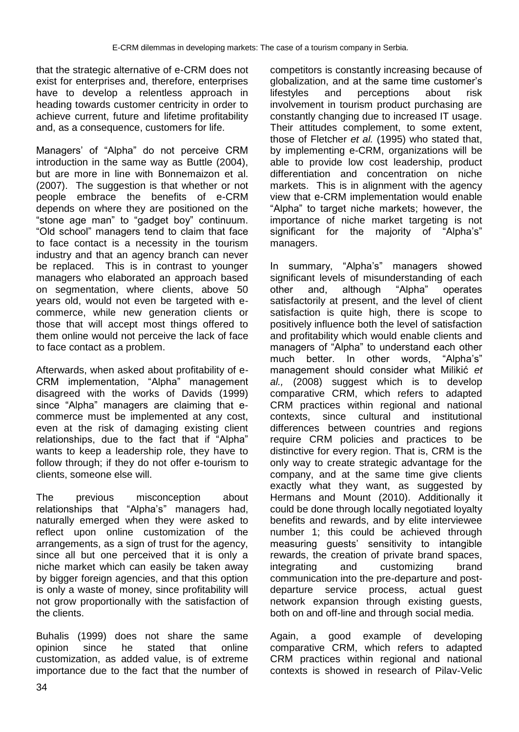that the strategic alternative of e-CRM does not exist for enterprises and, therefore, enterprises have to develop a relentless approach in heading towards customer centricity in order to achieve current, future and lifetime profitability and, as a consequence, customers for life.

Managers' of "Alpha" do not perceive CRM introduction in the same way as Buttle (2004), but are more in line with Bonnemaizon et al. (2007). The suggestion is that whether or not people embrace the benefits of e-CRM depends on where they are positioned on the "stone age man" to "gadget boy" continuum. "Old school" managers tend to claim that face to face contact is a necessity in the tourism industry and that an agency branch can never be replaced. This is in contrast to younger managers who elaborated an approach based on segmentation, where clients, above 50 years old, would not even be targeted with ecommerce, while new generation clients or those that will accept most things offered to them online would not perceive the lack of face to face contact as a problem.

Afterwards, when asked about profitability of e-CRM implementation, "Alpha" management disagreed with the works of Davids (1999) since "Alpha" managers are claiming that ecommerce must be implemented at any cost, even at the risk of damaging existing client relationships, due to the fact that if "Alpha" wants to keep a leadership role, they have to follow through; if they do not offer e-tourism to clients, someone else will.

The previous misconception about relationships that "Alpha's" managers had, naturally emerged when they were asked to reflect upon online customization of the arrangements, as a sign of trust for the agency, since all but one perceived that it is only a niche market which can easily be taken away by bigger foreign agencies, and that this option is only a waste of money, since profitability will not grow proportionally with the satisfaction of the clients.

Buhalis (1999) does not share the same opinion since he stated that online customization, as added value, is of extreme importance due to the fact that the number of competitors is constantly increasing because of globalization, and at the same time customer's lifestyles and perceptions about risk involvement in tourism product purchasing are constantly changing due to increased IT usage. Their attitudes complement, to some extent, those of Fletcher *et al.* (1995) who stated that, by implementing e-CRM, organizations will be able to provide low cost leadership, product differentiation and concentration on niche markets. This is in alignment with the agency view that e-CRM implementation would enable "Alpha" to target niche markets; however, the importance of niche market targeting is not significant for the majority of "Alpha's" managers.

In summary, "Alpha's" managers showed significant levels of misunderstanding of each other and, although "Alpha" operates satisfactorily at present, and the level of client satisfaction is quite high, there is scope to positively influence both the level of satisfaction and profitability which would enable clients and managers of "Alpha" to understand each other much better. In other words, "Alpha's" management should consider what Milikić *et al.,* (2008) suggest which is to develop comparative CRM, which refers to adapted CRM practices within regional and national contexts, since cultural and institutional differences between countries and regions require CRM policies and practices to be distinctive for every region. That is, CRM is the only way to create strategic advantage for the company, and at the same time give clients exactly what they want, as suggested by Hermans and Mount (2010). Additionally it could be done through locally negotiated loyalty benefits and rewards, and by elite interviewee number 1; this could be achieved through measuring guests' sensitivity to intangible rewards, the creation of private brand spaces, integrating and customizing brand communication into the pre-departure and postdeparture service process, actual guest network expansion through existing guests, both on and off-line and through social media.

Again, a good example of developing comparative CRM, which refers to adapted CRM practices within regional and national contexts is showed in research of Pilav-Velic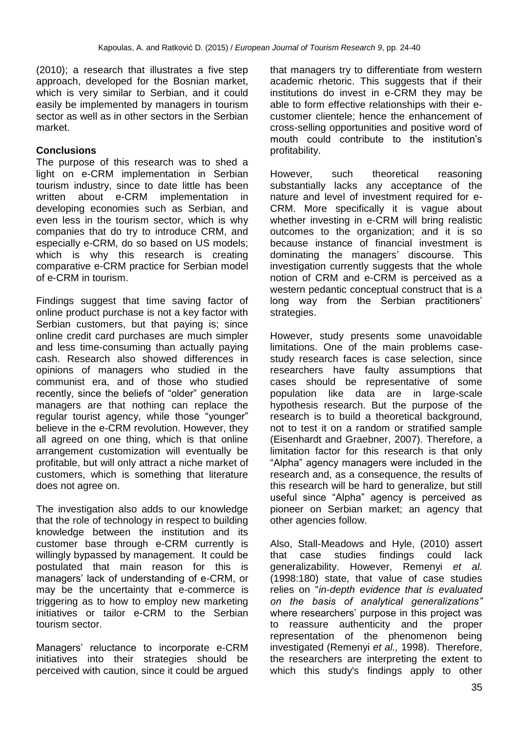(2010); a research that illustrates a five step approach, developed for the Bosnian market, which is very similar to Serbian, and it could easily be implemented by managers in tourism sector as well as in other sectors in the Serbian market.

# **Conclusions**

The purpose of this research was to shed a light on e-CRM implementation in Serbian tourism industry, since to date little has been written about e-CRM implementation in developing economies such as Serbian, and even less in the tourism sector, which is why companies that do try to introduce CRM, and especially e-CRM, do so based on US models; which is why this research is creating comparative e-CRM practice for Serbian model of e-CRM in tourism.

Findings suggest that time saving factor of online product purchase is not a key factor with Serbian customers, but that paying is; since online credit card purchases are much simpler and less time-consuming than actually paying cash. Research also showed differences in opinions of managers who studied in the communist era, and of those who studied recently, since the beliefs of "older" generation managers are that nothing can replace the regular tourist agency, while those "younger" believe in the e-CRM revolution. However, they all agreed on one thing, which is that online arrangement customization will eventually be profitable, but will only attract a niche market of customers, which is something that literature does not agree on.

The investigation also adds to our knowledge that the role of technology in respect to building knowledge between the institution and its customer base through e-CRM currently is willingly bypassed by management. It could be postulated that main reason for this is managers' lack of understanding of e-CRM, or may be the uncertainty that e-commerce is triggering as to how to employ new marketing initiatives or tailor e-CRM to the Serbian tourism sector.

Managers' reluctance to incorporate e-CRM initiatives into their strategies should be perceived with caution, since it could be argued that managers try to differentiate from western academic rhetoric. This suggests that if their institutions do invest in e-CRM they may be able to form effective relationships with their ecustomer clientele; hence the enhancement of cross-selling opportunities and positive word of mouth could contribute to the institution's profitability.

However, such theoretical reasoning substantially lacks any acceptance of the nature and level of investment required for e-CRM. More specifically it is vague about whether investing in e-CRM will bring realistic outcomes to the organization; and it is so because instance of financial investment is dominating the managers' discourse. This investigation currently suggests that the whole notion of CRM and e-CRM is perceived as a western pedantic conceptual construct that is a long way from the Serbian practitioners' strategies.

However, study presents some unavoidable limitations. One of the main problems casestudy research faces is case selection, since researchers have faulty assumptions that cases should be representative of some population like data are in large-scale hypothesis research. But the purpose of the research is to build a theoretical background, not to test it on a random or stratified sample (Eisenhardt and Graebner, 2007). Therefore, a limitation factor for this research is that only "Alpha" agency managers were included in the research and, as a consequence, the results of this research will be hard to generalize, but still useful since "Alpha" agency is perceived as pioneer on Serbian market; an agency that other agencies follow.

Also, Stall-Meadows and Hyle, (2010) assert that case studies findings could lack generalizability. However, Remenyi *et al.* (1998:180) state, that value of case studies relies on "*in-depth evidence that is evaluated on the basis of analytical generalizations"*  where researchers' purpose in this project was to reassure authenticity and the proper representation of the phenomenon being investigated (Remenyi *et al.,* 1998). Therefore, the researchers are interpreting the extent to which this study's findings apply to other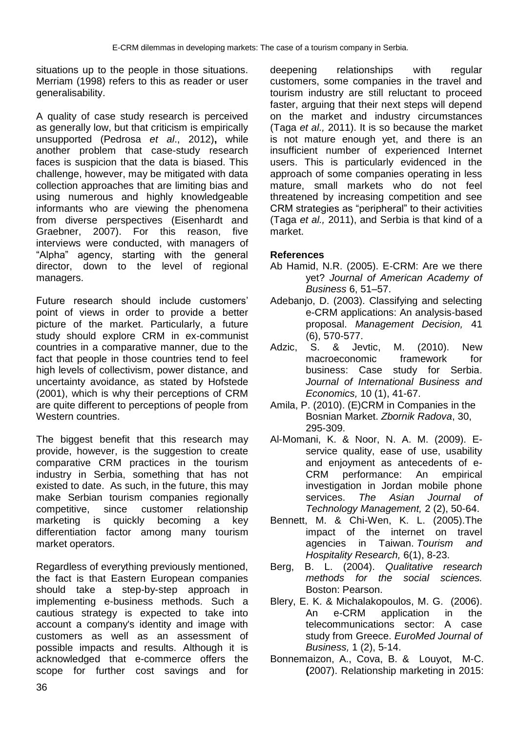situations up to the people in those situations. Merriam (1998) refers to this as reader or user generalisability.

A quality of case study research is perceived as generally low, but that criticism is empirically unsupported (Pedrosa *et al*., 2012)**,** while another problem that case-study research faces is suspicion that the data is biased. This challenge, however, may be mitigated with data collection approaches that are limiting bias and using numerous and highly knowledgeable informants who are viewing the phenomena from diverse perspectives (Eisenhardt and Graebner, 2007). For this reason, five interviews were conducted, with managers of "Alpha" agency, starting with the general director, down to the level of regional managers.

Future research should include customers' point of views in order to provide a better picture of the market. Particularly, a future study should explore CRM in ex-communist countries in a comparative manner, due to the fact that people in those countries tend to feel high levels of collectivism, power distance, and uncertainty avoidance, as stated by Hofstede (2001), which is why their perceptions of CRM are quite different to perceptions of people from Western countries.

The biggest benefit that this research may provide, however, is the suggestion to create comparative CRM practices in the tourism industry in Serbia, something that has not existed to date. As such, in the future, this may make Serbian tourism companies regionally competitive, since customer relationship marketing is quickly becoming a key differentiation factor among many tourism market operators.

Regardless of everything previously mentioned, the fact is that Eastern European companies should take a step-by-step approach in implementing e-business methods. Such a cautious strategy is expected to take into account a company's identity and image with customers as well as an assessment of possible impacts and results. Although it is acknowledged that e-commerce offers the scope for further cost savings and for deepening relationships with regular customers, some companies in the travel and tourism industry are still reluctant to proceed faster, arguing that their next steps will depend on the market and industry circumstances (Taga *et al.,* 2011). It is so because the market is not mature enough yet, and there is an insufficient number of experienced Internet users. This is particularly evidenced in the approach of some companies operating in less mature, small markets who do not feel threatened by increasing competition and see CRM strategies as "peripheral" to their activities (Taga *et al.,* 2011), and Serbia is that kind of a market.

# **References**

- Ab Hamid, N.R. (2005). E-CRM: Are we there yet? *Journal of American Academy of Business* 6, 51–57.
- Adebanjo, D. (2003). Classifying and selecting e-CRM applications: An analysis-based proposal. *Management Decision,* 41 (6), 570-577.
- Adzic, S. & Jevtic, M. (2010). New macroeconomic framework for business: Case study for Serbia. *Journal of International Business and Economics,* 10 (1), 41-67.
- Amila, P. (2010). (E)CRM in Companies in the Bosnian Market. *Zbornik Radova*, 30, 295-309.
- Al-Momani, K. & Noor, N. A. M. (2009). Eservice quality, ease of use, usability and enjoyment as antecedents of e-CRM performance: An empirical investigation in Jordan mobile phone services. *The Asian Journal of Technology Management,* 2 (2), 50-64.
- Bennett, M. & Chi-Wen, K. L. (2005).The impact of the internet on travel agencies in Taiwan. *Tourism and Hospitality Research,* 6(1), 8-23.
- Berg, B. L. (2004). *Qualitative research methods for the social sciences.* Boston: Pearson.
- Blery, E. K. & Michalakopoulos, M. G. (2006). An e-CRM application in the telecommunications sector: A case study from Greece. *EuroMed Journal of Business,* 1 (2), 5-14.
- Bonnemaizon, A., [Cova,](http://www.sciencedirect.com/science?_ob=RedirectURL&_method=outwardLink&_partnerName=27983&_origin=article&_zone=art_page&_linkType=scopusAuthorDocuments&_targetURL=http%3A%2F%2Fwww.scopus.com%2Fscopus%2Finward%2Fauthor.url%3FpartnerID%3D10%26rel%3D3.0.0%26sortField%3Dcited%26sortOrder%3Dasc%26author%3DCova,%2520Bernard%26authorID%3D24309877500%26md5%3D857e503beeb5d15934369441fbcf4af9&_acct=C000059629&_version=1&_userid=83476&md5=b951ed409f6a80cf5bd6ba4ce91f8598) B. & [Louyot,](http://www.sciencedirect.com/science?_ob=RedirectURL&_method=outwardLink&_partnerName=27983&_origin=article&_zone=art_page&_linkType=scopusAuthorDocuments&_targetURL=http%3A%2F%2Fwww.scopus.com%2Fscopus%2Finward%2Fauthor.url%3FpartnerID%3D10%26rel%3D3.0.0%26sortField%3Dcited%26sortOrder%3Dasc%26author%3DLouyot,%2520Marie-Claude%26authorID%3D15829391800%26md5%3Dce2709c4ae5afe16da1100073784fcc5&_acct=C000059629&_version=1&_userid=83476&md5=51693b226e59456ac73b0d19224f704c) M-C. **(**2007). Relationship marketing in 2015: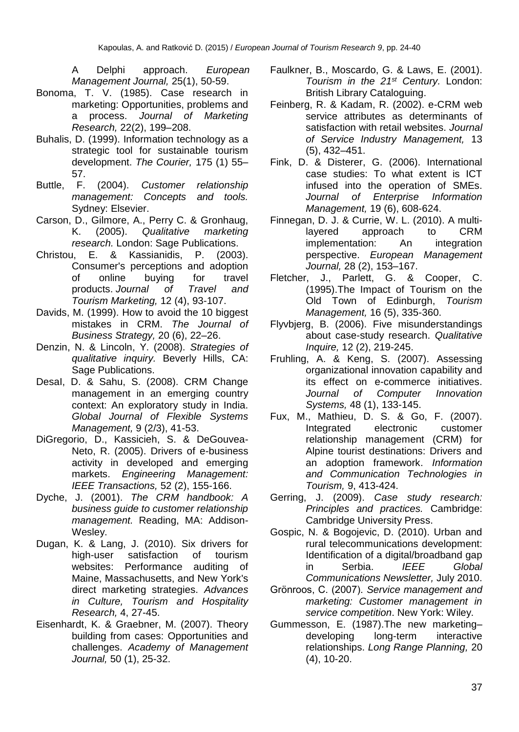A Delphi approach. *European Management Journal,* 25(1), 50-59.

- Bonoma, T. V. (1985). Case research in marketing: Opportunities, problems and a process. *Journal of Marketing Research,* 22(2), 199–208.
- Buhalis, D. (1999). Information technology as a strategic tool for sustainable tourism development. *The Courier,* 175 (1) 55– 57.
- Buttle, F. (2004). *Customer relationship management: Concepts and tools.* Sydney: Elsevier.
- Carson, D., Gilmore, A., Perry C. & Gronhaug, K. (2005). *Qualitative marketing research.* London: Sage Publications.
- Christou, E. & Kassianidis, P. (2003). Consumer's perceptions and adoption of online buying for travel products. *Journal of Travel and Tourism Marketing,* 12 (4), 93-107.
- Davids, M. (1999). How to avoid the 10 biggest mistakes in CRM. *The Journal of Business Strategy,* 20 (6), 22–26.
- Denzin, N. & Lincoln, Y. (2008). *Strategies of qualitative inquiry.* Beverly Hills, CA: Sage Publications.
- DesaI, D. & Sahu, S. (2008). CRM Change management in an emerging country context: An exploratory study in India. *Global Journal of Flexible Systems Management,* 9 (2/3), 41-53.
- DiGregorio, D., Kassicieh, S. & DeGouvea-Neto, R. (2005). Drivers of e-business activity in developed and emerging markets. *Engineering Management: IEEE Transactions,* 52 (2), 155-166.
- Dyche, J. (2001). *The CRM handbook: A business guide to customer relationship management.* Reading, MA: Addison-Wesley.
- Dugan, K. & Lang, J. (2010). Six drivers for high-user satisfaction of tourism websites: Performance auditing of Maine, Massachusetts, and New York's direct marketing strategies. *Advances in Culture, Tourism and Hospitality Research,* 4, 27-45.
- Eisenhardt, K. & Graebner, M. (2007). Theory building from cases: Opportunities and challenges. *Academy of Management Journal,* 50 (1), 25-32.
- Faulkner, B., Moscardo, G. & Laws, E. (2001). *Tourism in the 21st Century.* London: British Library Cataloguing.
- Feinberg, R. & Kadam, R. (2002). e-CRM web service attributes as determinants of satisfaction with retail websites. *Journal of Service Industry Management,* 13 (5), 432–451.
- Fink, D. & Disterer, G. (2006). International case studies: To what extent is ICT infused into the operation of SMEs. *Journal of Enterprise Information Management,* 19 (6), 608-624.
- Finnegan, D. J. & Currie, W. L. (2010). A multilayered approach to CRM implementation: An integration perspective. *European Management Journal,* 28 (2), 153–167.
- Fletcher, J., Parlett, G. & Cooper, C. (1995).The Impact of Tourism on the Old Town of Edinburgh, *Tourism Management,* 16 (5), 335-360.
- Flyvbjerg, B. (2006). Five misunderstandings about case-study research. *Qualitative Inquire,* 12 (2), 219-245.
- Fruhling, A. & Keng, S. (2007). Assessing organizational innovation capability and its effect on e-commerce initiatives. *Journal of Computer Innovation Systems,* 48 (1), 133-145.
- Fux, M., Mathieu, D. S. & Go, F. (2007). Integrated electronic customer relationship management (CRM) for Alpine tourist destinations: Drivers and an adoption framework. *[Information](http://www.springerlink.com/content/978-3-211-69564-7/)  [and Communication Technologies in](http://www.springerlink.com/content/978-3-211-69564-7/)  [Tourism,](http://www.springerlink.com/content/978-3-211-69564-7/)* 9, 413-424.
- Gerring, J. (2009). *Case study research: Principles and practices.* Cambridge: Cambridge University Press.
- Gospic, N. & Bogojevic, D. (2010). Urban and rural telecommunications development: Identification of a digital/broadband gap in Serbia. *IEEE Global Communications Newsletter,* July 2010.
- Grönroos, C. (2007). *Service management and marketing: Customer management in service competition*. New York: Wiley.
- Gummesson, E. (1987).The new marketing– developing long-term interactive relationships. *Long Range Planning,* 20 (4), 10-20.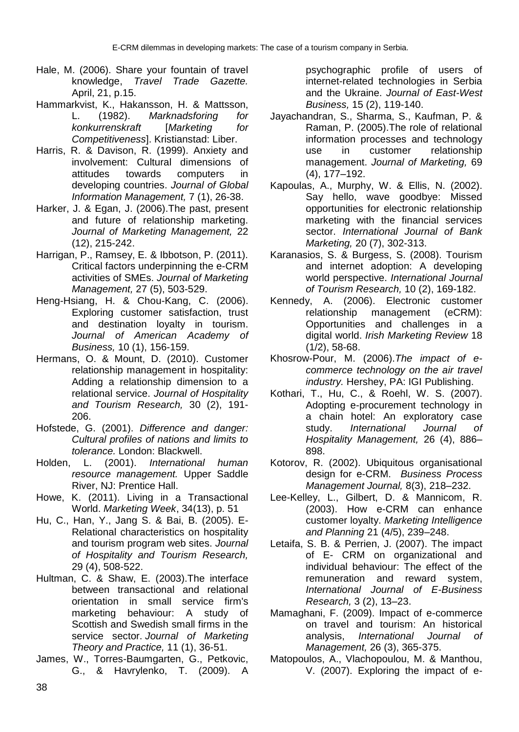- Hale, M. (2006). Share your fountain of travel knowledge, *Travel Trade Gazette.* April, 21, p.15.
- Hammarkvist, K., Hakansson, H. & Mattsson, L. (1982). *Marknadsforing for konkurrenskraft* [*Marketing for Competitiveness*]. Kristianstad: Liber.
- Harris, R. & Davison, R. (1999). Anxiety and involvement: Cultural dimensions of attitudes towards computers in developing countries. *Journal of Global Information Management,* 7 (1), 26-38.
- Harker, J. & Egan, J. (2006).The past, present and future of relationship marketing. *Journal of Marketing Management,* 22 (12), 215-242.
- Harrigan, P., Ramsey, E. & Ibbotson, P. (2011). Critical factors underpinning the e-CRM activities of SMEs. *Journal of Marketing Management,* 27 (5), 503-529.
- Heng-Hsiang, H. & Chou-Kang, C. (2006). Exploring customer satisfaction, trust and destination loyalty in tourism. *Journal of American Academy of Business,* 10 (1), 156-159.
- Hermans, O. & Mount, D. (2010). Customer relationship management in hospitality: Adding a relationship dimension to a relational service. *Journal of Hospitality and Tourism Research,* 30 (2), 191- 206.
- Hofstede, G. (2001). *Difference and danger: Cultural profiles of nations and limits to tolerance.* London: Blackwell.
- Holden, L. (2001). *International human resource management.* Upper Saddle River, NJ: Prentice Hall.
- Howe, K. (2011). Living in a Transactional World. *Marketing Week*, 34(13), p. 51
- Hu, C., Han, Y., Jang S. & Bai, B. (2005). E-Relational characteristics on hospitality and tourism program web sites. *Journal of Hospitality and Tourism Research,* 29 (4), 508-522.
- Hultman, C. & Shaw, E. (2003).The interface between transactional and relational orientation in small service firm's marketing behaviour: A study of Scottish and Swedish small firms in the service sector. *Journal of Marketing Theory and Practice,* 11 (1), 36-51.
- James, W., Torres-Baumgarten, G., Petkovic, G., & Havrylenko, T. (2009). A

psychographic profile of users of internet-related technologies in Serbia and the Ukraine. *Journal of East-West Business,* 15 (2), 119-140.

- Jayachandran, S., Sharma, S., Kaufman, P. & Raman, P. (2005).The role of relational information processes and technology use in customer relationship management. *Journal of Marketing,* 69 (4), 177–192.
- Kapoulas, A., Murphy, W. & Ellis, N. (2002). Say hello, wave goodbye: Missed opportunities for electronic relationship marketing with the financial services sector. *International Journal of Bank Marketing,* 20 (7), 302-313.
- Karanasios, S. & Burgess, S. (2008). Tourism and internet adoption: A developing world perspective. *International Journal of Tourism Research,* 10 (2), 169-182.
- Kennedy, A. (2006). Electronic customer relationship management (eCRM): Opportunities and challenges in a digital world. *Irish Marketing Review* 18 (1/2), 58-68.
- Khosrow-Pour, M. (2006).*The impact of ecommerce technology on the air travel industry.* Hershey, PA: IGI Publishing.
- Kothari, T., Hu, C., & Roehl, W. S. (2007). Adopting e-procurement technology in a chain hotel: An exploratory case study. *International Journal of Hospitality Management,* 26 (4), 886– 898.
- Kotorov, R. (2002). Ubiquitous organisational design for e-CRM. *Business Process Management Journal,* 8(3), 218–232.
- Lee-Kelley, L., Gilbert, D. & Mannicom, R. (2003). How e-CRM can enhance customer loyalty. *Marketing Intelligence and Planning* 21 (4/5), 239–248.
- Letaifa, S. B. & Perrien, J. (2007). The impact of E- CRM on organizational and individual behaviour: The effect of the remuneration and reward system, *International Journal of E-Business Research,* 3 (2), 13–23.
- Mamaghani, F. (2009). Impact of e-commerce on travel and tourism: An historical analysis, *International Journal of Management,* 26 (3), 365-375.
- Matopoulos, A., Vlachopoulou, M. & Manthou, V. (2007). Exploring the impact of e-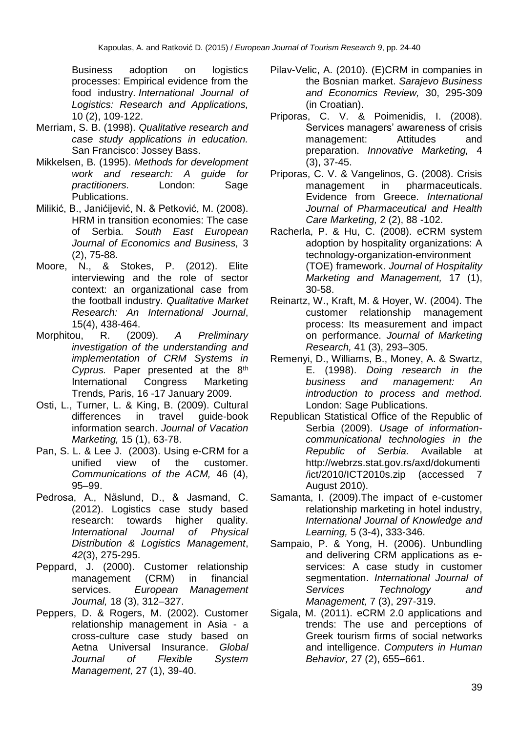Business adoption on logistics processes: Empirical evidence from the food industry. *International Journal of Logistics: Research and Applications,* 10 (2), 109-122.

- Merriam, S. B. (1998). *Qualitative research and case study applications in education.*  San Francisco: Jossey Bass.
- Mikkelsen, B. (1995). *Methods for development work and research: A guide for practitioners.* London: Sage Publications.
- Milikić, B., Janićijević, N. & Petković, M. (2008). HRM in transition economies: The case of Serbia. *South East European Journal of Economics and Business,* 3 (2), 75-88.
- Moore, N., & Stokes, P. (2012). Elite interviewing and the role of sector context: an organizational case from the football industry. *Qualitative Market Research: An International Journal*, 15(4), 438-464.
- Morphitou, R. (2009). *A Preliminary investigation of the understanding and implementation of CRM Systems in Cyprus.* Paper presented at the 8th International Congress Marketing Trends*,* Paris, 16 -17 January 2009.
- Osti, L., Turner, L. & King, B. (2009). Cultural differences in travel guide-book information search. *Journal of Vacation Marketing,* 15 (1), 63-78.
- Pan, S. L. & Lee J. (2003). Using e-CRM for a unified view of the customer. *Communications of the ACM,* 46 (4), 95–99.
- Pedrosa, A., Näslund, D., & Jasmand, C. (2012). Logistics case study based research: towards higher quality. *International Journal of Physical Distribution & Logistics Management*, *42*(3), 275-295.
- Peppard, J. (2000). Customer relationship management (CRM) in financial services. *European Management Journal,* 18 (3), 312–327.
- Peppers, D. & Rogers, M. (2002). Customer relationship management in Asia - a cross-culture case study based on Aetna Universal Insurance. *Global Journal of Flexible System Management,* 27 (1), 39-40.
- Pilav-Velic, A. (2010). (E)CRM in companies in the Bosnian market. *Sarajevo Business and Economics Review,* 30, 295-309 (in Croatian).
- Priporas, C. V. & Poimenidis, I. (2008). Services managers' awareness of crisis management: Attitudes and preparation. *Innovative Marketing,* 4 (3), 37-45.
- Priporas, C. V. & Vangelinos, G. (2008). Crisis management in pharmaceuticals. Evidence from Greece. *International Journal of Pharmaceutical and Health Care Marketing,* 2 (2), 88 -102.
- Racherla, P. & Hu, C. (2008). eCRM system adoption by hospitality organizations: A technology-organization-environment (TOE) framework. *Journal of Hospitality Marketing and Management,* 17 (1), 30-58.
- Reinartz, W., Kraft, M. & Hoyer, W. (2004). The customer relationship management process: Its measurement and impact on performance. *Journal of Marketing Research,* 41 (3), 293–305.
- Remenyi, D., Williams, B., Money, A. & Swartz, E. (1998). *Doing research in the business and management: An introduction to process and method.*  London: Sage Publications.
- Republican Statistical Office of the Republic of Serbia (2009). *Usage of informationcommunicational technologies in the Republic of Serbia.* Available at http://webrzs.stat.gov.rs/axd/dokumenti /ict/2010/ICT2010s.zip (accessed 7 August 2010).
- Samanta, I. (2009).The impact of e-customer relationship marketing in hotel industry, *[International Journal of Knowledge and](http://www.ingentaconnect.com/content/ind/ijkl)  [Learning,](http://www.ingentaconnect.com/content/ind/ijkl)* 5 (3-4), 333-346.
- Sampaio, P. & Yong, H. (2006). Unbundling and delivering CRM applications as eservices: A case study in customer segmentation. *International Journal of Services Technology and Management,* 7 (3), 297-319.
- Sigala, M. (2011). eCRM 2.0 applications and trends: The use and perceptions of Greek tourism firms of social networks and intelligence. *Computers in Human Behavior,* 27 (2), 655–661.